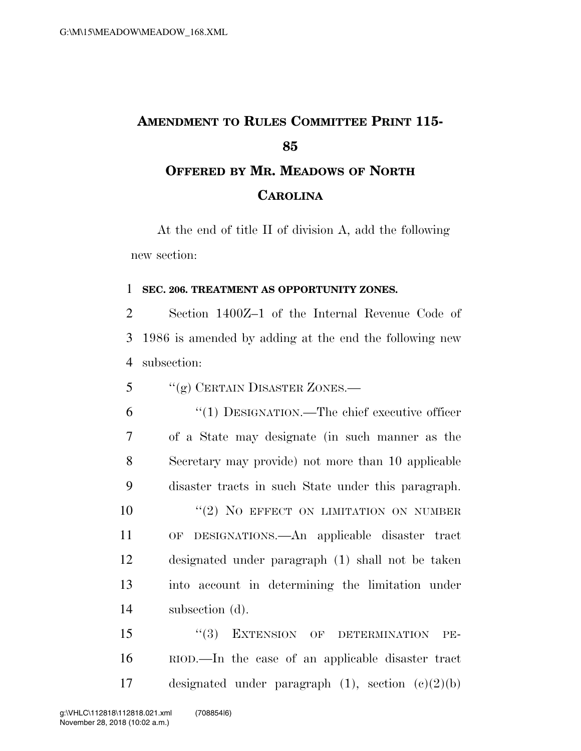## **AMENDMENT TO RULES COMMITTEE PRINT 115- OFFERED BY MR. MEADOWS OF NORTH CAROLINA**

At the end of title II of division A, add the following new section:

## **SEC. 206. TREATMENT AS OPPORTUNITY ZONES.**

 Section 1400Z–1 of the Internal Revenue Code of 1986 is amended by adding at the end the following new subsection:

''(g) CERTAIN DISASTER ZONES.—

 ''(1) DESIGNATION.—The chief executive officer of a State may designate (in such manner as the Secretary may provide) not more than 10 applicable disaster tracts in such State under this paragraph. 10 "(2) NO EFFECT ON LIMITATION ON NUMBER OF DESIGNATIONS.—An applicable disaster tract designated under paragraph (1) shall not be taken into account in determining the limitation under subsection (d).

15 "(3) EXTENSION OF DETERMINATION PE- RIOD.—In the case of an applicable disaster tract designated under paragraph (1), section (c)(2)(b)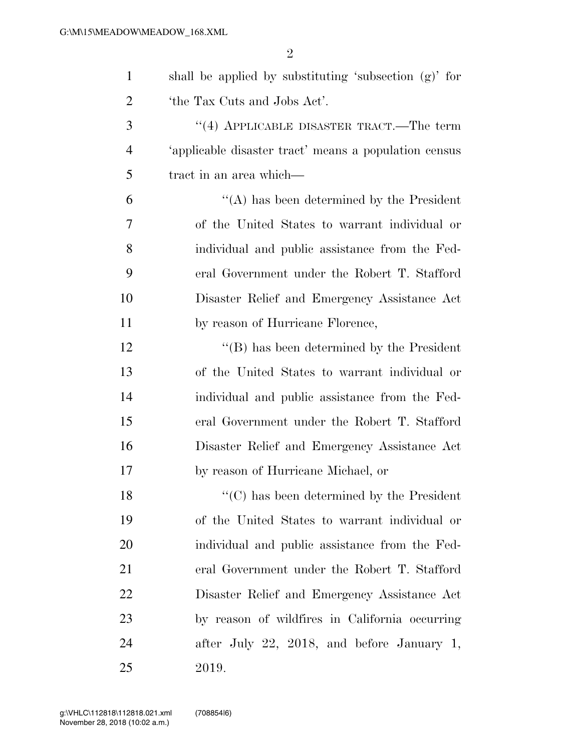| $\mathbf{1}$   | shall be applied by substituting 'subsection (g)' for |
|----------------|-------------------------------------------------------|
| $\overline{2}$ | 'the Tax Cuts and Jobs Act'.                          |
| 3              | $(4)$ APPLICABLE DISASTER TRACT.—The term             |
| $\overline{4}$ | 'applicable disaster tract' means a population census |
| 5              | tract in an area which—                               |
| 6              | "(A) has been determined by the President             |
| 7              | of the United States to warrant individual or         |
| 8              | individual and public assistance from the Fed-        |
| 9              | eral Government under the Robert T. Stafford          |
| 10             | Disaster Relief and Emergency Assistance Act          |
| 11             | by reason of Hurricane Florence,                      |
| 12             | $\lq\lq$ (B) has been determined by the President     |
| 13             | of the United States to warrant individual or         |
| 14             | individual and public assistance from the Fed-        |
| 15             | eral Government under the Robert T. Stafford          |
| 16             | Disaster Relief and Emergency Assistance Act          |
| 17             | by reason of Hurricane Michael, or                    |
| 18             | $\lq\lq$ has been determined by the President         |
| 19             | of the United States to warrant individual or         |
| <b>20</b>      | individual and public assistance from the Fed-        |
| 21             | eral Government under the Robert T. Stafford          |
| 22             | Disaster Relief and Emergency Assistance Act          |
| 23             | by reason of wildfires in California occurring        |
| 24             | after July 22, 2018, and before January 1,            |
| 25             | 2019.                                                 |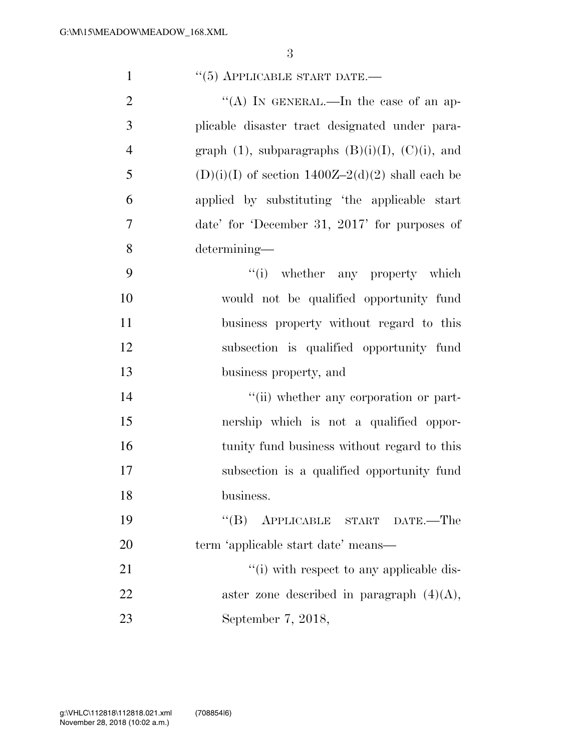| $\mathbf{1}$   | $``(5)$ APPLICABLE START DATE.—                          |
|----------------|----------------------------------------------------------|
| $\overline{2}$ | "(A) IN GENERAL.—In the case of an ap-                   |
| 3              | plicable disaster tract designated under para-           |
| $\overline{4}$ | graph $(1)$ , subparagraphs $(B)(i)(I)$ , $(C)(i)$ , and |
| 5              | $(D)(i)(I)$ of section 1400Z-2(d)(2) shall each be       |
| 6              | applied by substituting 'the applicable start            |
| $\tau$         | date' for 'December 31, 2017' for purposes of            |
| 8              | determining-                                             |
| 9              | "(i) whether any property which                          |
| 10             | would not be qualified opportunity fund                  |
| 11             | business property without regard to this                 |
| 12             | subsection is qualified opportunity fund                 |
| 13             | business property, and                                   |
| 14             | "(ii) whether any corporation or part-                   |
| 15             | nership which is not a qualified oppor-                  |
| 16             | tunity fund business without regard to this              |
| 17             | subsection is a qualified opportunity fund               |
| 18             | business.                                                |
| 19             | "(B) APPLICABLE START DATE.—The                          |
| 20             | term 'applicable start date' means—                      |
| 21             | "(i) with respect to any applicable dis-                 |
| 22             | aster zone described in paragraph $(4)(A)$ ,             |
| 23             | September 7, 2018,                                       |